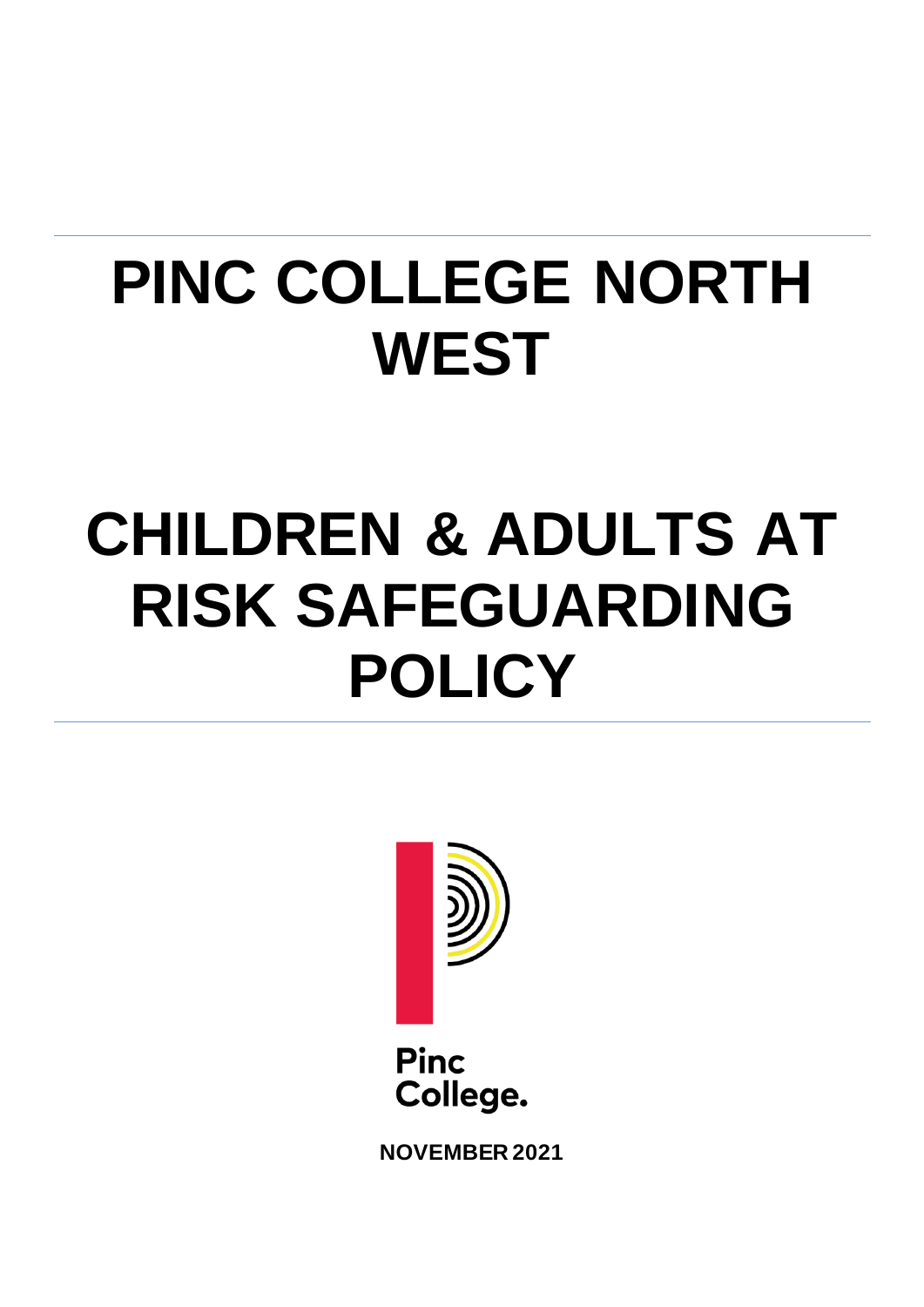# **PINC COLLEGE NORTH WEST**

# **CHILDREN & ADULTS AT RISK SAFEGUARDING POLICY**



**Pinc** College.

**NOVEMBER 2021**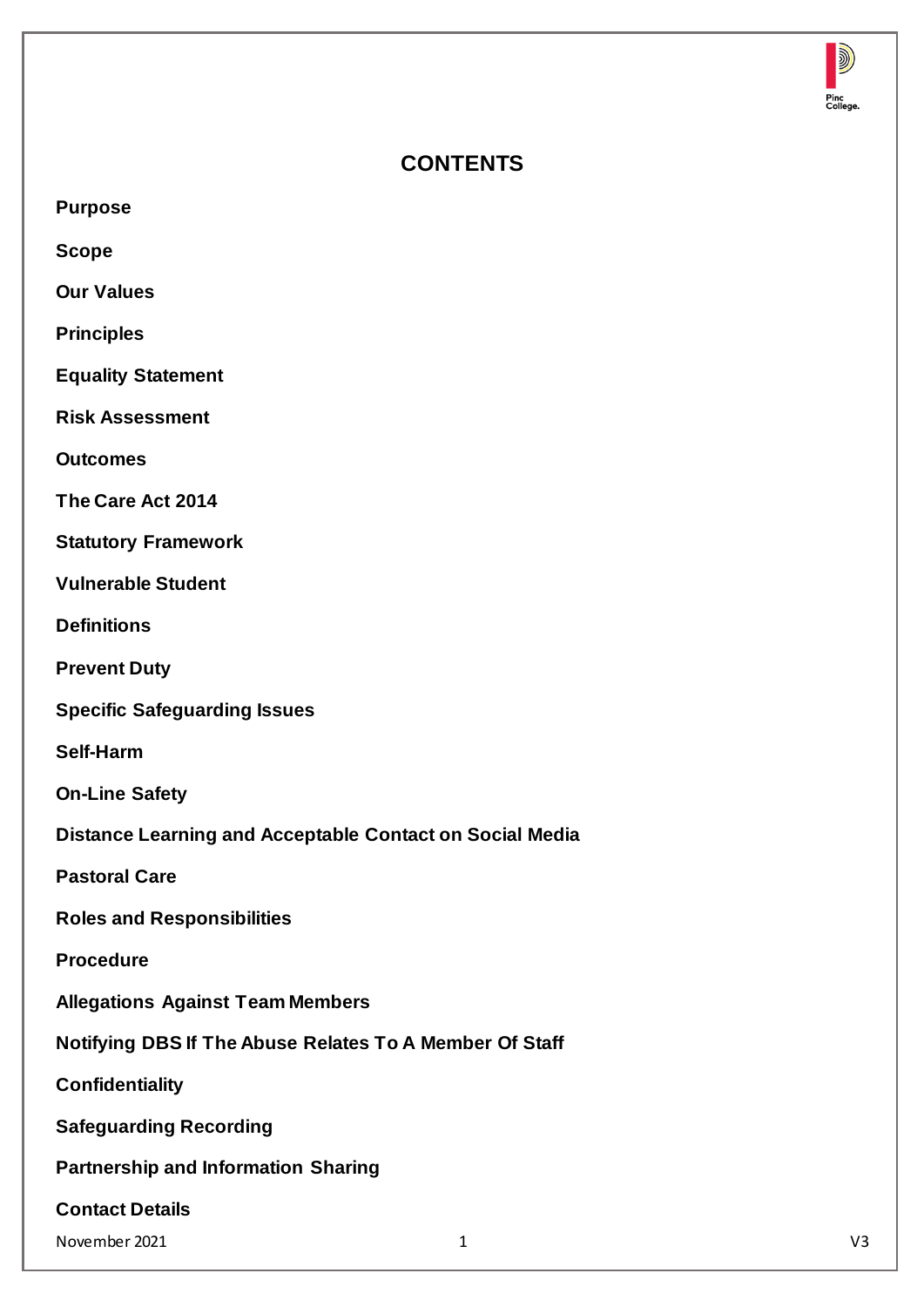

# **CONTENTS**

**Scope**

**Our Values**

**Principles**

**Equality Statement**

**Risk Assessment**

**Outcomes**

**The Care Act 2014**

**Statutory Framework**

**Vulnerable Student**

**Definitions**

**Prevent Duty**

**Specific Safeguarding Issues**

**Self-Harm**

**On-Line Safety**

**Distance Learning and Acceptable Contact on Social Media**

**Pastoral Care**

**Roles and Responsibilities**

**Procedure**

**Allegations Against Team Members**

**Notifying DBS If The Abuse Relates To A Member Of Staff**

**Confidentiality**

**Safeguarding Recording**

**Partnership and Information Sharing**

**Contact Details**

November 2021 1 V3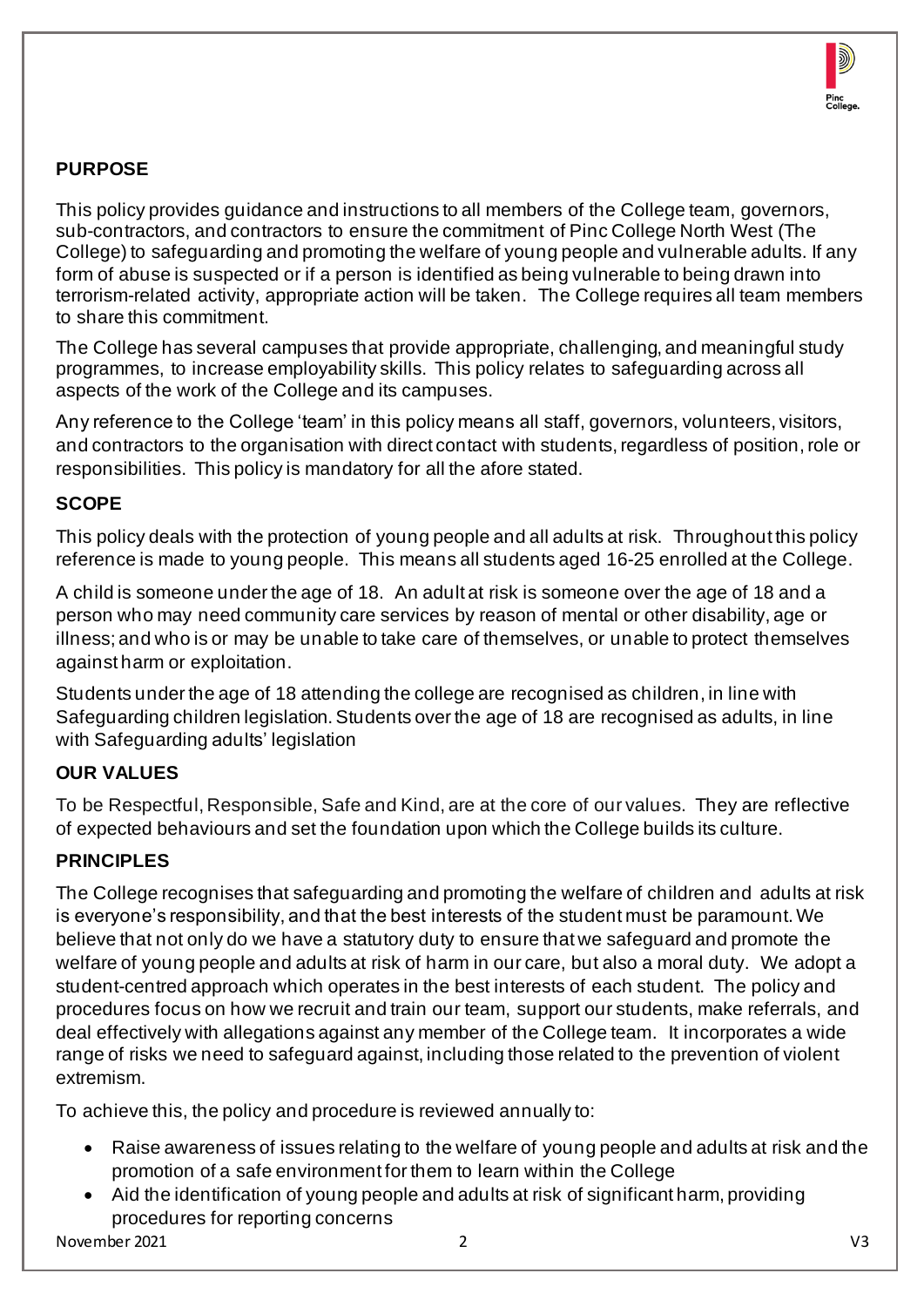

# **PURPOSE**

This policy provides guidance and instructions to all members of the College team, governors, sub-contractors, and contractors to ensure the commitment of Pinc College North West (The College) to safeguarding and promoting the welfare of young people and vulnerable adults. If any form of abuse is suspected or if a person is identified as being vulnerable to being drawn into terrorism-related activity, appropriate action will be taken. The College requires all team members to share this commitment.

The College has several campuses that provide appropriate, challenging, and meaningful study programmes, to increase employability skills. This policy relates to safeguarding across all aspects of the work of the College and its campuses.

Any reference to the College 'team' in this policy means all staff, governors, volunteers, visitors, and contractors to the organisation with direct contact with students, regardless of position, role or responsibilities. This policy is mandatory for all the afore stated.

## **SCOPE**

This policy deals with the protection of young people and all adults at risk. Throughout this policy reference is made to young people. This means all students aged 16-25 enrolled at the College.

A child is someone under the age of 18. An adult at risk is someone over the age of 18 and a person who may need community care services by reason of mental or other disability, age or illness; and who is or may be unable to take care of themselves, or unable to protect themselves against harm or exploitation.

Students under the age of 18 attending the college are recognised as children, in line with Safeguarding children legislation. Students over the age of 18 are recognised as adults, in line with Safeguarding adults' legislation

## **OUR VALUES**

To be Respectful, Responsible, Safe and Kind, are at the core of our values. They are reflective of expected behaviours and set the foundation upon which the College builds its culture.

## **PRINCIPLES**

The College recognises that safeguarding and promoting the welfare of children and adults at risk is everyone's responsibility, and that the best interests of the student must be paramount. We believe that not only do we have a statutory duty to ensure that we safeguard and promote the welfare of young people and adults at risk of harm in our care, but also a moral duty. We adopt a student-centred approach which operates in the best interests of each student. The policy and procedures focus on how we recruit and train our team, support our students, make referrals, and deal effectively with allegations against any member of the College team. It incorporates a wide range of risks we need to safeguard against, including those related to the prevention of violent extremism.

To achieve this, the policy and procedure is reviewed annually to:

- Raise awareness of issues relating to the welfare of young people and adults at risk and the promotion of a safe environment for them to learn within the College
- Aid the identification of young people and adults at risk of significant harm, providing procedures for reporting concerns

November 2021 2 V3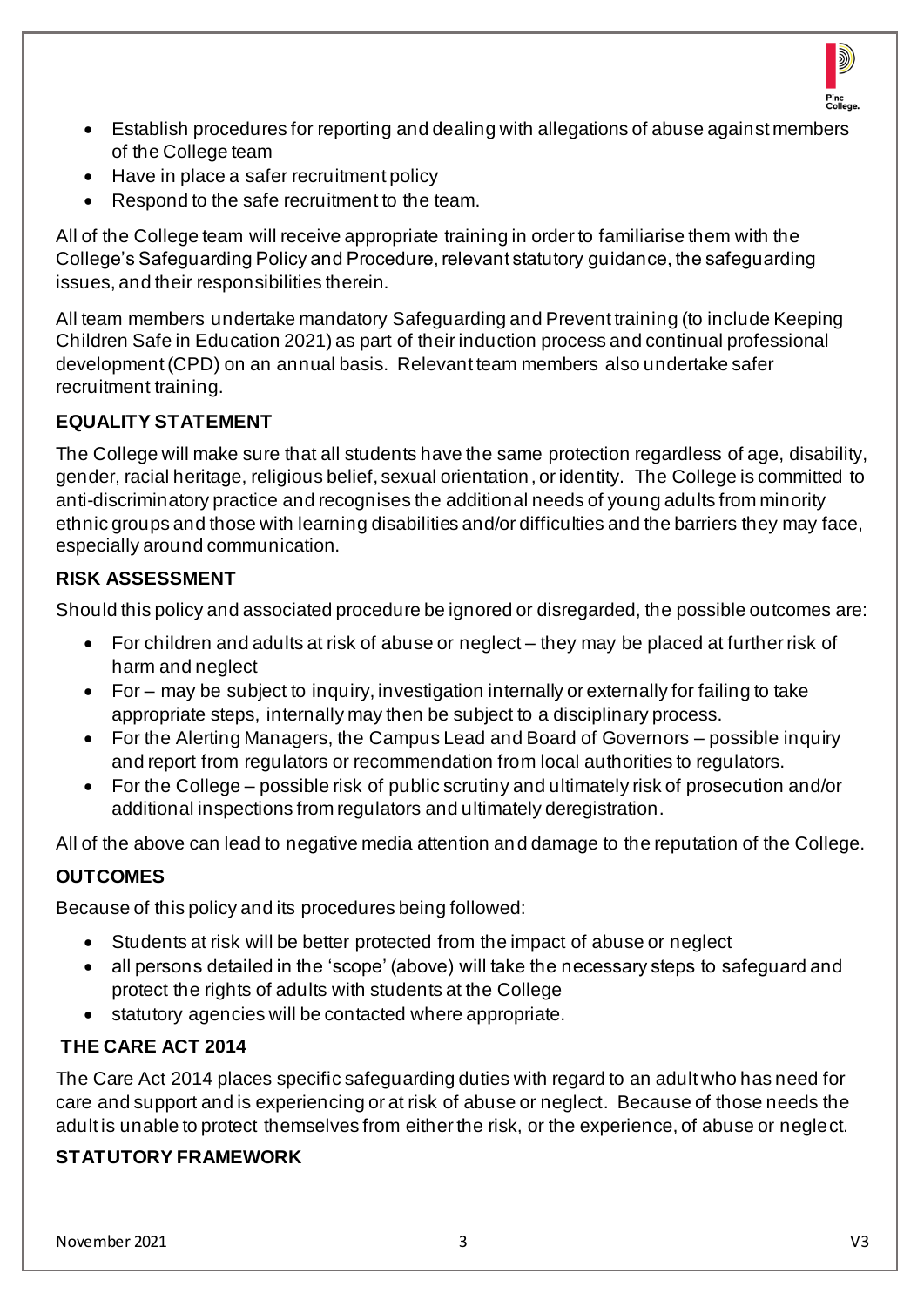

- Establish procedures for reporting and dealing with allegations of abuse against members of the College team
- Have in place a safer recruitment policy
- Respond to the safe recruitment to the team.

All of the College team will receive appropriate training in order to familiarise them with the College's Safeguarding Policy and Procedure, relevant statutory guidance, the safeguarding issues, and their responsibilities therein.

All team members undertake mandatory Safeguarding and Prevent training (to include Keeping Children Safe in Education 2021) as part of their induction process and continual professional development (CPD) on an annual basis. Relevant team members also undertake safer recruitment training.

## **EQUALITY STATEMENT**

The College will make sure that all students have the same protection regardless of age, disability, gender, racial heritage, religious belief, sexual orientation, or identity. The College is committed to anti-discriminatory practice and recognises the additional needs of young adults from minority ethnic groups and those with learning disabilities and/or difficulties and the barriers they may face, especially around communication.

## **RISK ASSESSMENT**

Should this policy and associated procedure be ignored or disregarded, the possible outcomes are:

- For children and adults at risk of abuse or neglect they may be placed at further risk of harm and neglect
- For may be subject to inquiry, investigation internally or externally for failing to take appropriate steps, internally may then be subject to a disciplinary process.
- For the Alerting Managers, the Campus Lead and Board of Governors possible inquiry and report from regulators or recommendation from local authorities to regulators.
- For the College possible risk of public scrutiny and ultimately risk of prosecution and/or additional inspections from regulators and ultimately deregistration.

All of the above can lead to negative media attention and damage to the reputation of the College.

## **OUTCOMES**

Because of this policy and its procedures being followed:

- Students at risk will be better protected from the impact of abuse or neglect
- all persons detailed in the 'scope' (above) will take the necessary steps to safeguard and protect the rights of adults with students at the College
- statutory agencies will be contacted where appropriate.

## **THE CARE ACT 2014**

The Care Act 2014 places specific safeguarding duties with regard to an adult who has need for care and support and is experiencing or at risk of abuse or neglect. Because of those needs the adult is unable to protect themselves from either the risk, or the experience, of abuse or neglect.

## **STATUTORY FRAMEWORK**

November 2021 3 V3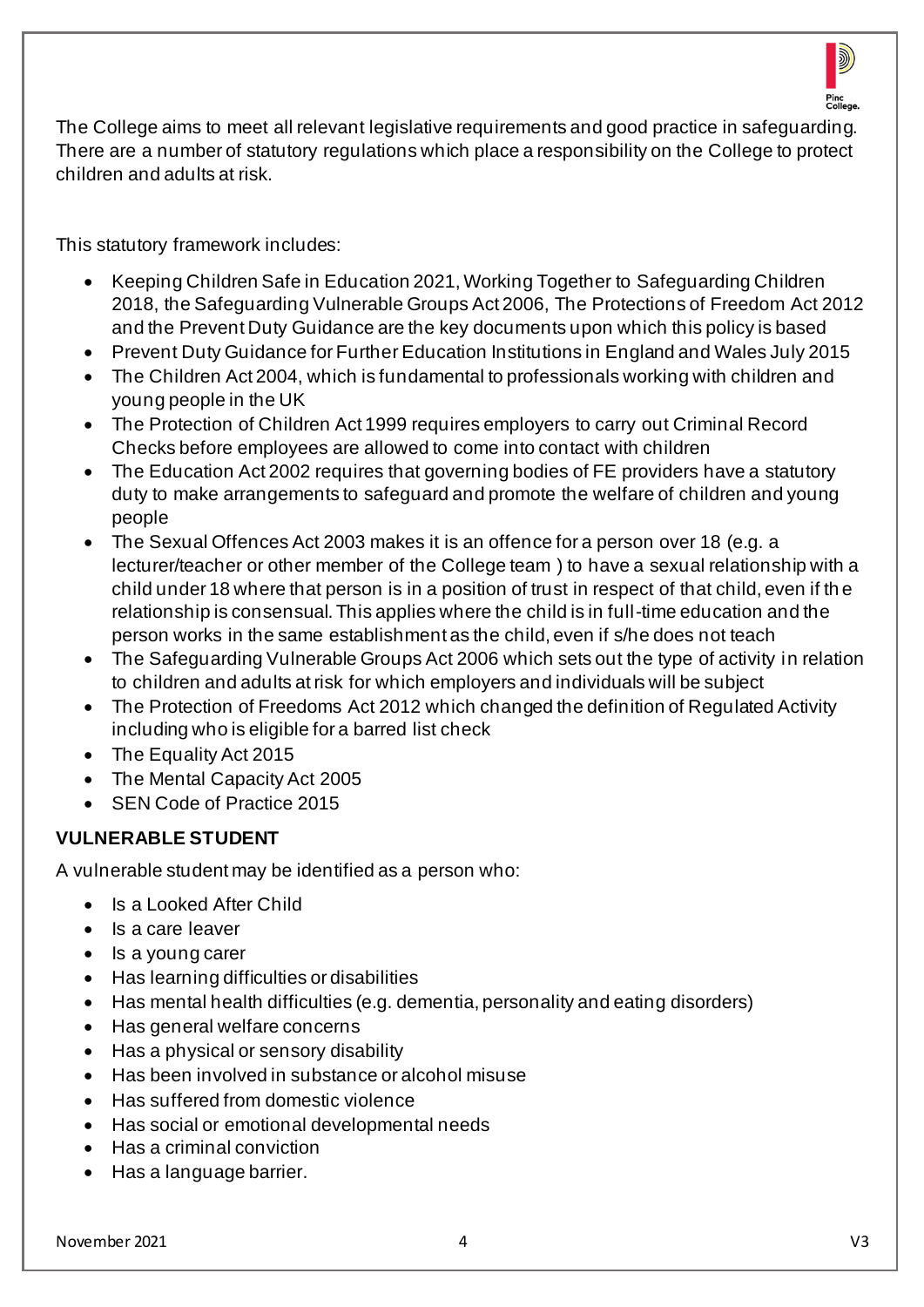

The College aims to meet all relevant legislative requirements and good practice in safeguarding. There are a number of statutory regulations which place a responsibility on the College to protect children and adults at risk.

This statutory framework includes:

- Keeping Children Safe in Education 2021, Working Together to Safeguarding Children 2018, the Safeguarding Vulnerable Groups Act 2006, The Protections of Freedom Act 2012 and the Prevent Duty Guidance are the key documents upon which this policy is based
- Prevent Duty Guidance for Further Education Institutions in England and Wales July 2015
- The Children Act 2004, which is fundamental to professionals working with children and young people in the UK
- The Protection of Children Act 1999 requires employers to carry out Criminal Record Checks before employees are allowed to come into contact with children
- The Education Act 2002 requires that governing bodies of FE providers have a statutory duty to make arrangements to safeguard and promote the welfare of children and young people
- The Sexual Offences Act 2003 makes it is an offence for a person over 18 (e.g. a lecturer/teacher or other member of the College team ) to have a sexual relationship with a child under 18 where that person is in a position of trust in respect of that child, even if th e relationship is consensual. This applies where the child is in full-time education and the person works in the same establishment as the child, even if s/he does not teach
- The Safeguarding Vulnerable Groups Act 2006 which sets out the type of activity in relation to children and adults at risk for which employers and individuals will be subject
- The Protection of Freedoms Act 2012 which changed the definition of Regulated Activity including who is eligible for a barred list check
- The Equality Act 2015
- The Mental Capacity Act 2005
- SEN Code of Practice 2015

## **VULNERABLE STUDENT**

A vulnerable student may be identified as a person who:

- Is a Looked After Child
- Is a care leaver
- Is a young carer
- Has learning difficulties or disabilities
- Has mental health difficulties (e.g. dementia, personality and eating disorders)
- Has general welfare concerns
- Has a physical or sensory disability
- Has been involved in substance or alcohol misuse
- Has suffered from domestic violence
- Has social or emotional developmental needs
- Has a criminal conviction
- Has a language barrier.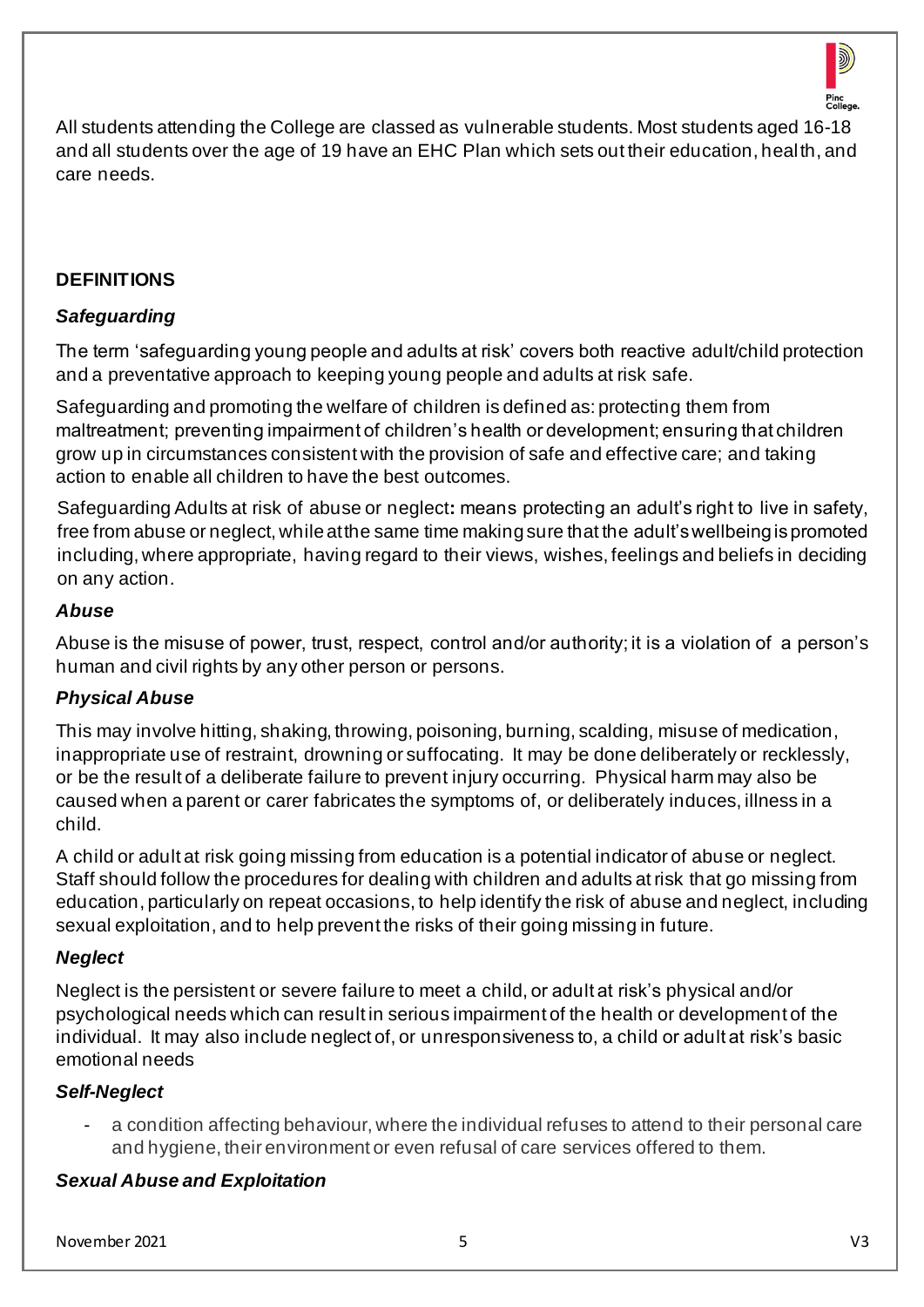

All students attending the College are classed as vulnerable students. Most students aged 16-18 and all students over the age of 19 have an EHC Plan which sets out their education, health, and care needs.

#### **DEFINITIONS**

#### *Safeguarding*

The term 'safeguarding young people and adults at risk' covers both reactive adult/child protection and a preventative approach to keeping young people and adults at risk safe.

Safeguarding and promoting the welfare of children is defined as: protecting them from maltreatment; preventing impairment of children's health or development; ensuring that children grow up in circumstances consistent with the provision of safe and effective care; and taking action to enable all children to have the best outcomes.

Safeguarding Adults at risk of abuse or neglect**:** means protecting an adult's right to live in safety, free from abuse or neglect, while at the same time making sure that the adult's wellbeing is promoted including, where appropriate, having regard to their views, wishes, feelings and beliefs in deciding on any action.

#### *Abuse*

Abuse is the misuse of power, trust, respect, control and/or authority; it is a violation of a person's human and civil rights by any other person or persons.

## *Physical Abuse*

This may involve hitting, shaking, throwing, poisoning, burning, scalding, misuse of medication, inappropriate use of restraint, drowning or suffocating. It may be done deliberately or recklessly, or be the result of a deliberate failure to prevent injury occurring. Physical harm may also be caused when a parent or carer fabricates the symptoms of, or deliberately induces, illness in a child.

A child or adult at risk going missing from education is a potential indicator of abuse or neglect. Staff should follow the procedures for dealing with children and adults at risk that go missing from education, particularly on repeat occasions, to help identify the risk of abuse and neglect, including sexual exploitation, and to help prevent the risks of their going missing in future.

#### *Neglect*

Neglect is the persistent or severe failure to meet a child, or adult at risk's physical and/or psychological needs which can result in serious impairment of the health or development of the individual. It may also include neglect of, or unresponsiveness to, a child or adult at risk's basic emotional needs

## *Self-Neglect*

a condition affecting behaviour, where the individual refuses to attend to their personal care and hygiene, their environment or even refusal of care services offered to them.

## *Sexual Abuse and Exploitation*

November 2021 5 V3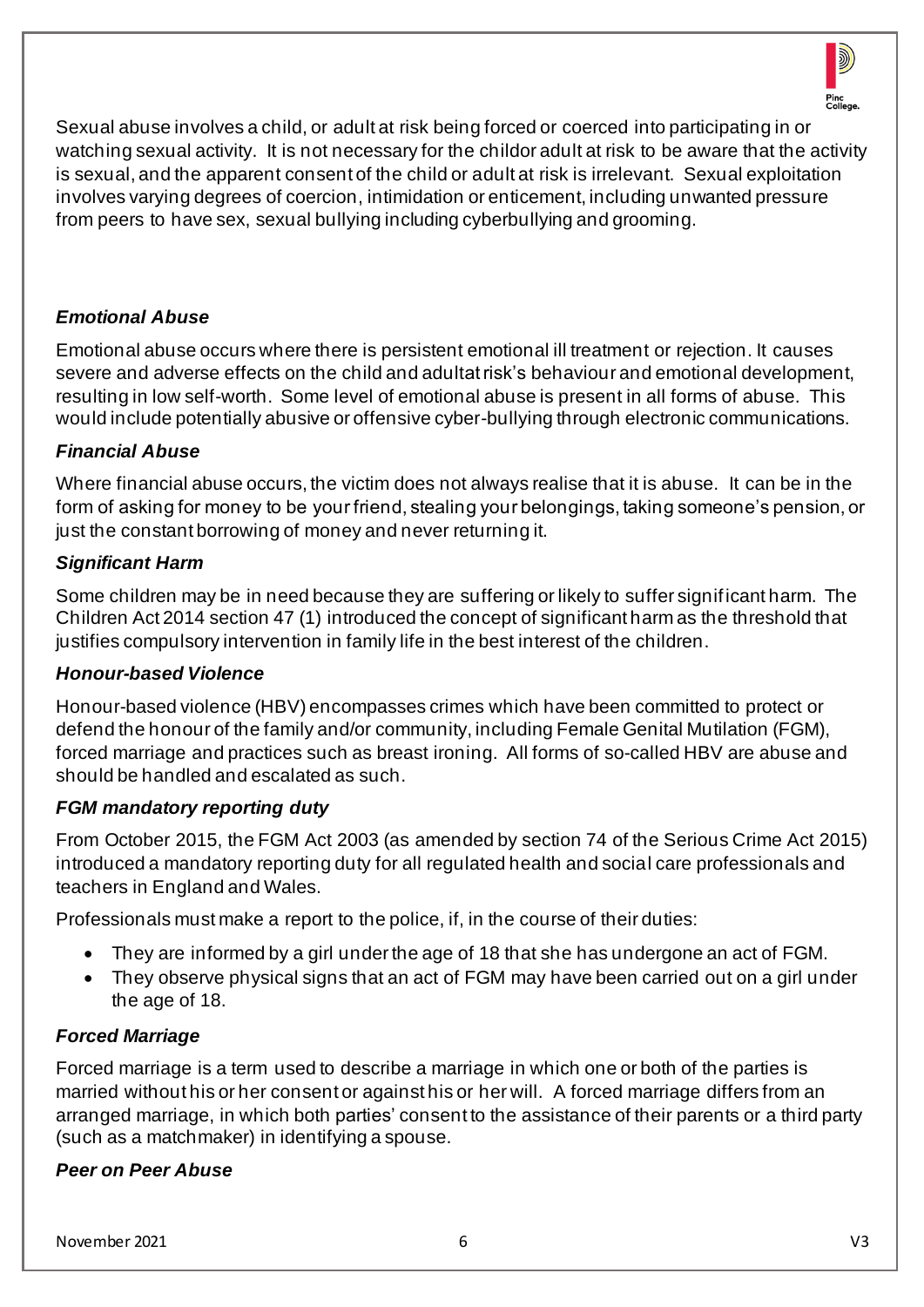

Sexual abuse involves a child, or adult at risk being forced or coerced into participating in or watching sexual activity. It is not necessary for the childor adult at risk to be aware that the activity is sexual, and the apparent consent of the child or adult at risk is irrelevant. Sexual exploitation involves varying degrees of coercion, intimidation or enticement, including unwanted pressure from peers to have sex, sexual bullying including cyberbullying and grooming.

#### *Emotional Abuse*

Emotional abuse occurs where there is persistent emotional ill treatment or rejection. It causes severe and adverse effects on the child and adultat risk's behaviour and emotional development, resulting in low self-worth. Some level of emotional abuse is present in all forms of abuse. This would include potentially abusive or offensive cyber-bullying through electronic communications.

#### *Financial Abuse*

Where financial abuse occurs, the victim does not always realise that it is abuse. It can be in the form of asking for money to be your friend, stealing your belongings, taking someone's pension, or just the constant borrowing of money and never returning it.

#### *Significant Harm*

Some children may be in need because they are suffering or likely to suffer significant harm. The Children Act 2014 section 47 (1) introduced the concept of significant harm as the threshold that justifies compulsory intervention in family life in the best interest of the children.

#### *Honour-based Violence*

Honour-based violence (HBV) encompasses crimes which have been committed to protect or defend the honour of the family and/or community, including Female Genital Mutilation (FGM), forced marriage and practices such as breast ironing. All forms of so-called HBV are abuse and should be handled and escalated as such.

#### *FGM mandatory reporting duty*

From October 2015, the FGM Act 2003 (as amended by section 74 of the Serious Crime Act 2015) introduced a mandatory reporting duty for all regulated health and social care professionals and teachers in England and Wales.

Professionals must make a report to the police, if, in the course of their duties:

- They are informed by a girl under the age of 18 that she has undergone an act of FGM.
- They observe physical signs that an act of FGM may have been carried out on a girl under the age of 18.

#### *Forced Marriage*

Forced marriage is a term used to describe a marriage in which one or both of the parties is married without his or her consent or against his or her will. A forced marriage differs from an arranged marriage, in which both parties' consent to the assistance of their parents or a third party (such as a matchmaker) in identifying a spouse.

#### *Peer on Peer Abuse*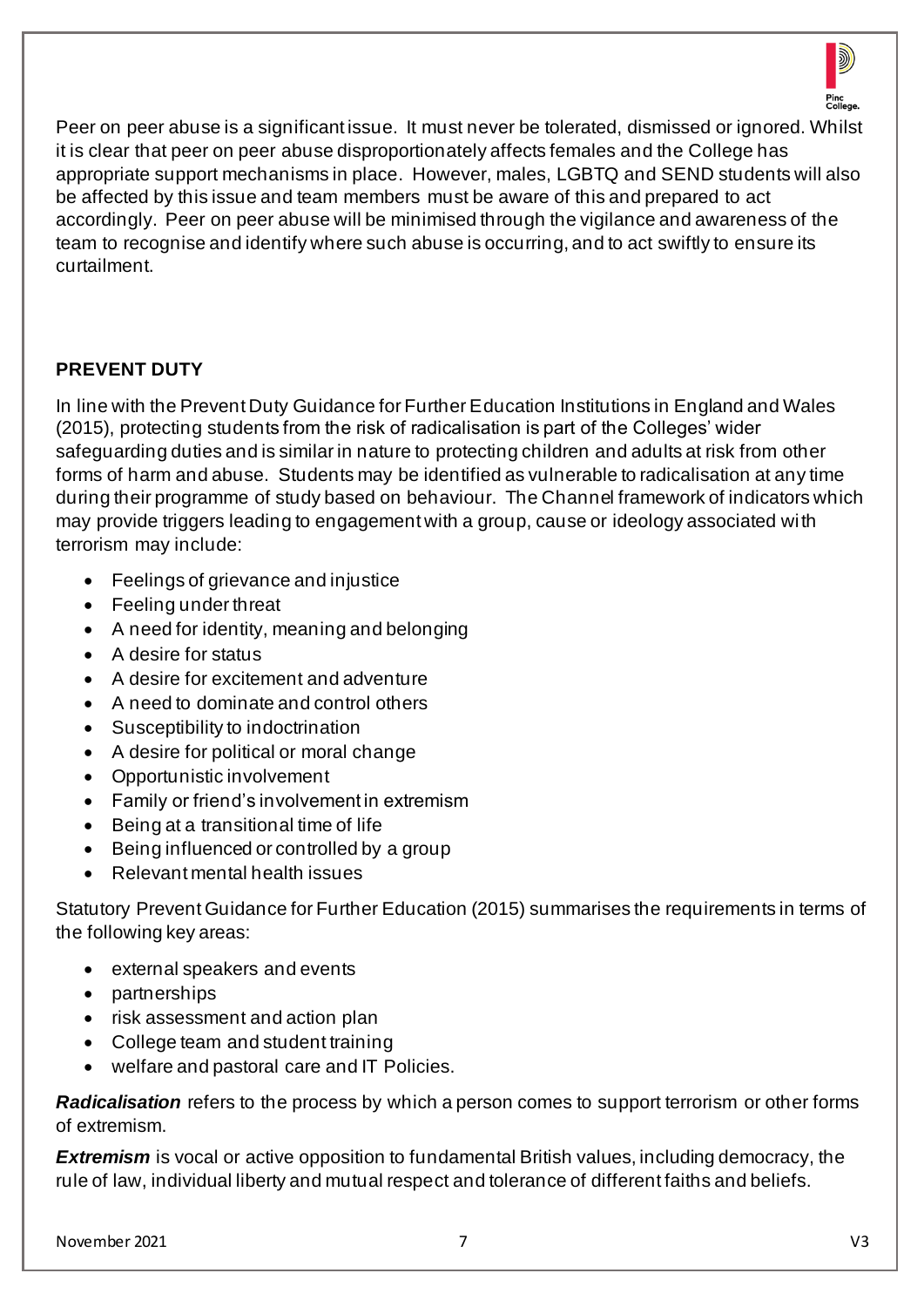

Peer on peer abuse is a significant issue. It must never be tolerated, dismissed or ignored. Whilst it is clear that peer on peer abuse disproportionately affects females and the College has appropriate support mechanisms in place. However, males, LGBTQ and SEND students will also be affected by this issue and team members must be aware of this and prepared to act accordingly. Peer on peer abuse will be minimised through the vigilance and awareness of the team to recognise and identify where such abuse is occurring, and to act swiftly to ensure its curtailment.

## **PREVENT DUTY**

In line with the Prevent Duty Guidance for Further Education Institutions in England and Wales (2015), protecting students from the risk of radicalisation is part of the Colleges' wider safeguarding duties and is similar in nature to protecting children and adults at risk from other forms of harm and abuse. Students may be identified as vulnerable to radicalisation at any time during their programme of study based on behaviour. The Channel framework of indicators which may provide triggers leading to engagement with a group, cause or ideology associated with terrorism may include:

- Feelings of grievance and injustice
- Feeling under threat
- A need for identity, meaning and belonging
- A desire for status
- A desire for excitement and adventure
- A need to dominate and control others
- Susceptibility to indoctrination
- A desire for political or moral change
- Opportunistic involvement
- Family or friend's involvement in extremism
- Being at a transitional time of life
- Being influenced or controlled by a group
- Relevant mental health issues

Statutory Prevent Guidance for Further Education (2015) summarises the requirements in terms of the following key areas:

- external speakers and events
- partnerships
- risk assessment and action plan
- College team and student training
- welfare and pastoral care and IT Policies.

*Radicalisation* refers to the process by which a person comes to support terrorism or other forms of extremism.

**Extremism** is vocal or active opposition to fundamental British values, including democracy, the rule of law, individual liberty and mutual respect and tolerance of different faiths and beliefs.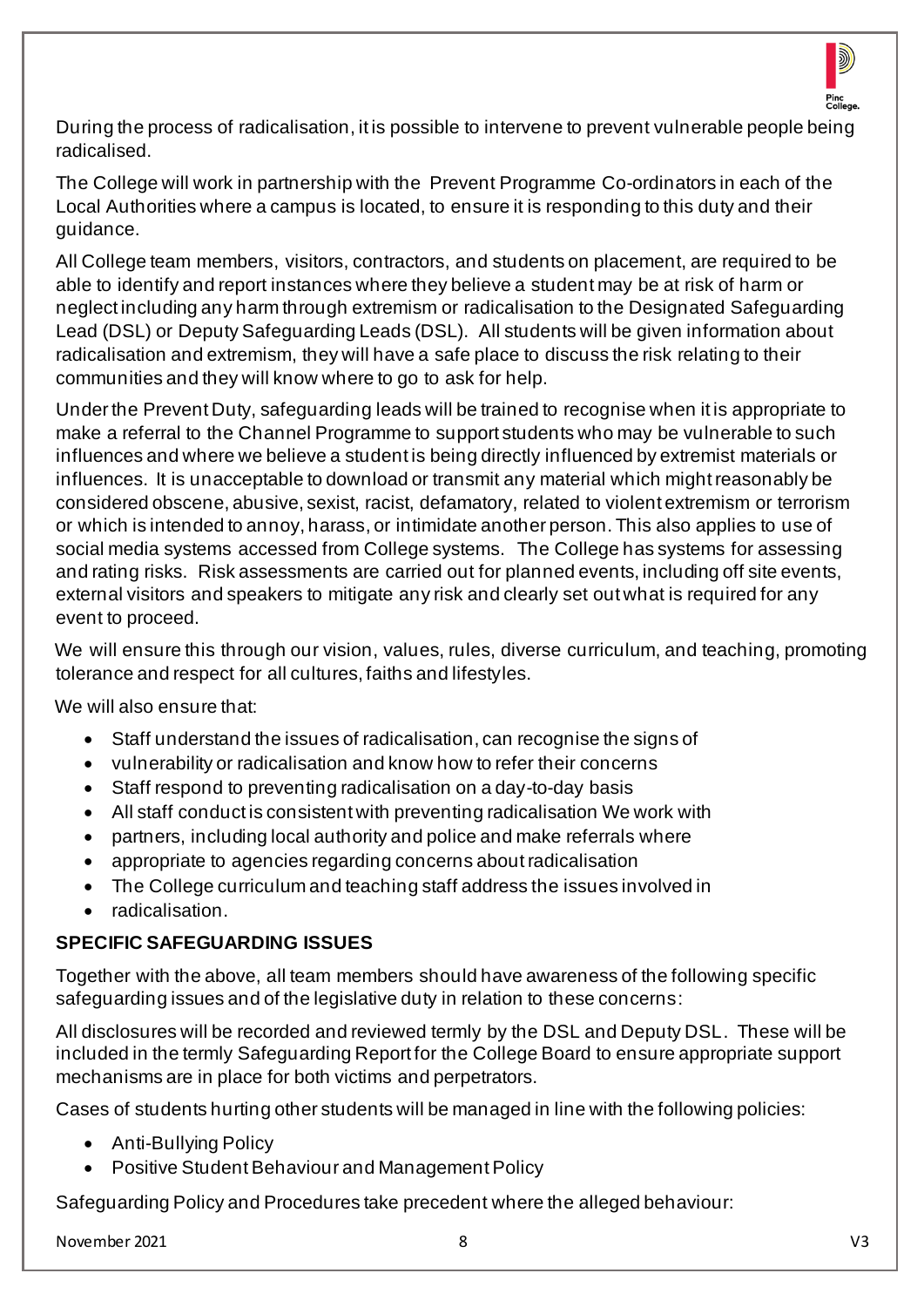

During the process of radicalisation, it is possible to intervene to prevent vulnerable people being radicalised.

The College will work in partnership with the Prevent Programme Co-ordinators in each of the Local Authorities where a campus is located, to ensure it is responding to this duty and their guidance.

All College team members, visitors, contractors, and students on placement, are required to be able to identify and report instances where they believe a student may be at risk of harm or neglect including any harm through extremism or radicalisation to the Designated Safeguarding Lead (DSL) or Deputy Safeguarding Leads (DSL). All students will be given information about radicalisation and extremism, they will have a safe place to discuss the risk relating to their communities and they will know where to go to ask for help.

Under the Prevent Duty, safeguarding leads will be trained to recognise when it is appropriate to make a referral to the Channel Programme to support students who may be vulnerable to such influences and where we believe a student is being directly influenced by extremist materials or influences. It is unacceptable to download or transmit any material which might reasonably be considered obscene, abusive, sexist, racist, defamatory, related to violent extremism or terrorism or which is intended to annoy, harass, or intimidate another person. This also applies to use of social media systems accessed from College systems. The College has systems for assessing and rating risks. Risk assessments are carried out for planned events, including off site events, external visitors and speakers to mitigate any risk and clearly set out what is required for any event to proceed.

We will ensure this through our vision, values, rules, diverse curriculum, and teaching, promoting tolerance and respect for all cultures, faiths and lifestyles.

We will also ensure that:

- Staff understand the issues of radicalisation, can recognise the signs of
- vulnerability or radicalisation and know how to refer their concerns
- Staff respond to preventing radicalisation on a day-to-day basis
- All staff conduct is consistent with preventing radicalisation We work with
- partners, including local authority and police and make referrals where
- appropriate to agencies regarding concerns about radicalisation
- The College curriculum and teaching staff address the issues involved in
- radicalisation.

#### **SPECIFIC SAFEGUARDING ISSUES**

Together with the above, all team members should have awareness of the following specific safeguarding issues and of the legislative duty in relation to these concerns:

All disclosures will be recorded and reviewed termly by the DSL and Deputy DSL. These will be included in the termly Safeguarding Report for the College Board to ensure appropriate support mechanisms are in place for both victims and perpetrators.

Cases of students hurting other students will be managed in line with the following policies:

- Anti-Bullying Policy
- Positive Student Behaviour and Management Policy

Safeguarding Policy and Procedures take precedent where the alleged behaviour:

November 2021 8 V3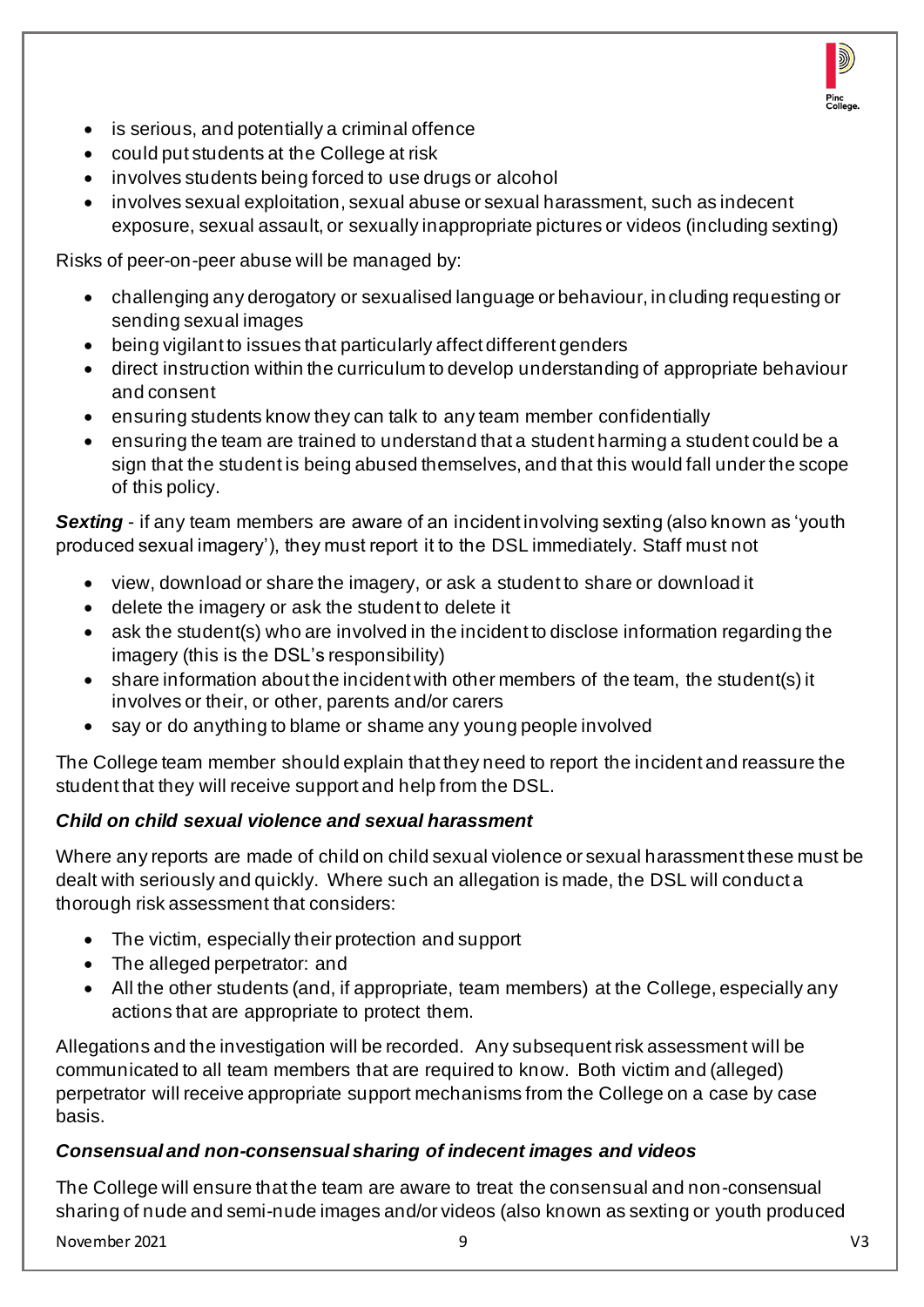

- is serious, and potentially a criminal offence
- could put students at the College at risk
- involves students being forced to use drugs or alcohol
- involves sexual exploitation, sexual abuse or sexual harassment, such as indecent exposure, sexual assault, or sexually inappropriate pictures or videos (including sexting)

Risks of peer-on-peer abuse will be managed by:

- challenging any derogatory or sexualised language or behaviour, in cluding requesting or sending sexual images
- being vigilant to issues that particularly affect different genders
- direct instruction within the curriculum to develop understanding of appropriate behaviour and consent
- ensuring students know they can talk to any team member confidentially
- ensuring the team are trained to understand that a student harming a student could be a sign that the student is being abused themselves, and that this would fall under the scope of this policy.

*Sexting* - if any team members are aware of an incident involving sexting (also known as 'youth produced sexual imagery'), they must report it to the DSL immediately. Staff must not

- view, download or share the imagery, or ask a student to share or download it
- delete the imagery or ask the student to delete it
- ask the student(s) who are involved in the incident to disclose information regarding the imagery (this is the DSL's responsibility)
- share information about the incident with other members of the team, the student(s) it involves or their, or other, parents and/or carers
- say or do anything to blame or shame any young people involved

The College team member should explain that they need to report the incident and reassure the student that they will receive support and help from the DSL.

## *Child on child sexual violence and sexual harassment*

Where any reports are made of child on child sexual violence or sexual harassment these must be dealt with seriously and quickly. Where such an allegation is made, the DSL will conduct a thorough risk assessment that considers:

- The victim, especially their protection and support
- The alleged perpetrator: and
- All the other students (and, if appropriate, team members) at the College, especially any actions that are appropriate to protect them.

Allegations and the investigation will be recorded. Any subsequent risk assessment will be communicated to all team members that are required to know. Both victim and (alleged) perpetrator will receive appropriate support mechanisms from the College on a case by case basis.

## *Consensual and non-consensual sharing of indecent images and videos*

The College will ensure that the team are aware to treat the consensual and non-consensual sharing of nude and semi-nude images and/or videos (also known as sexting or youth produced

November 2021 9 V3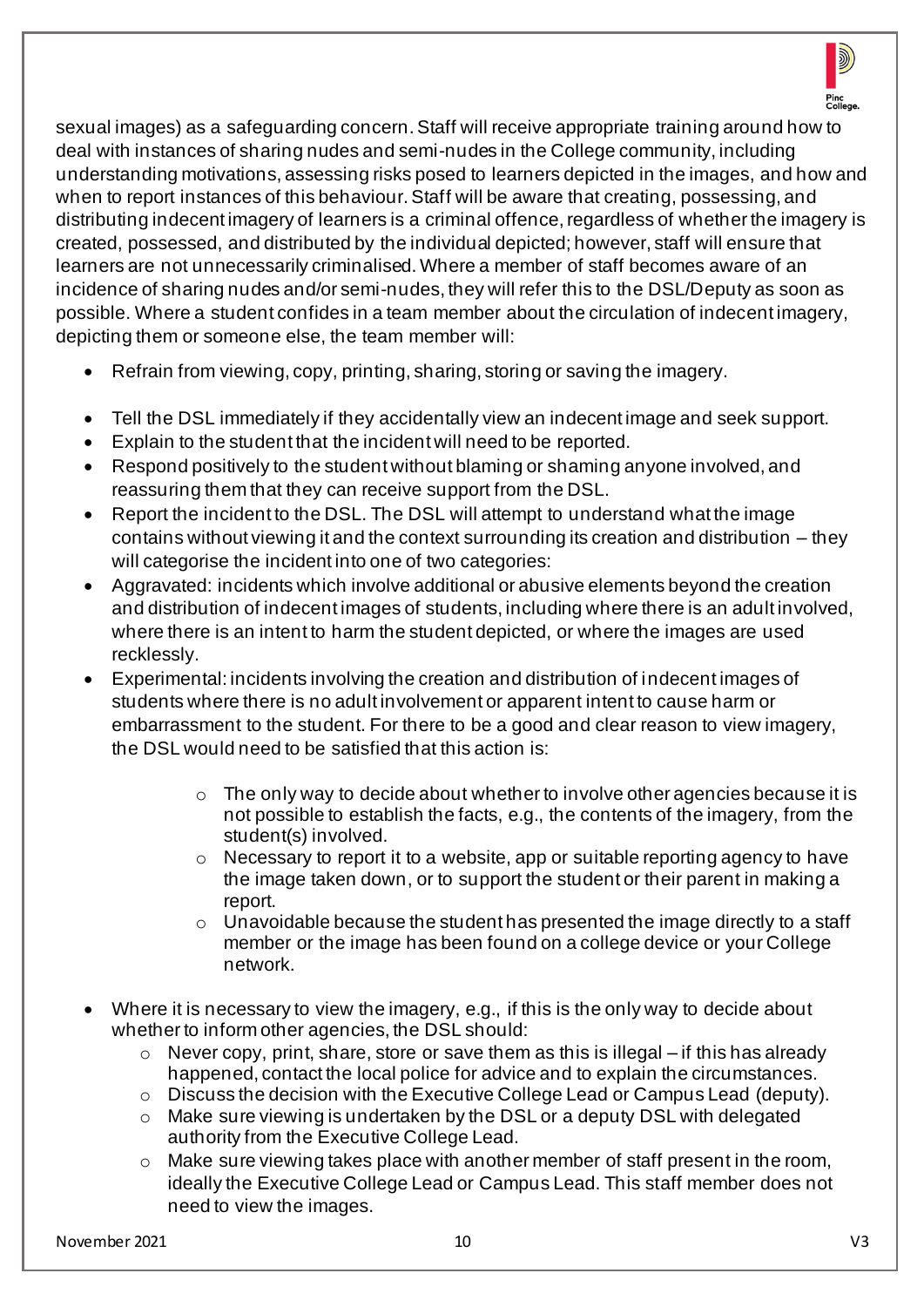

sexual images) as a safeguarding concern. Staff will receive appropriate training around how to deal with instances of sharing nudes and semi-nudes in the College community, including understanding motivations, assessing risks posed to learners depicted in the images, and how and when to report instances of this behaviour. Staff will be aware that creating, possessing, and distributing indecent imagery of learners is a criminal offence, regardless of whether the imagery is created, possessed, and distributed by the individual depicted; however, staff will ensure that learners are not unnecessarily criminalised. Where a member of staff becomes aware of an incidence of sharing nudes and/or semi-nudes, they will refer this to the DSL/Deputy as soon as possible. Where a student confides in a team member about the circulation of indecent imagery, depicting them or someone else, the team member will:

- Refrain from viewing, copy, printing, sharing, storing or saving the imagery.
- Tell the DSL immediately if they accidentally view an indecent image and seek support.
- Explain to the student that the incident will need to be reported.
- Respond positively to the student without blaming or shaming anyone involved, and reassuring them that they can receive support from the DSL.
- Report the incident to the DSL. The DSL will attempt to understand what the image contains without viewing it and the context surrounding its creation and distribution – they will categorise the incident into one of two categories:
- Aggravated: incidents which involve additional or abusive elements beyond the creation and distribution of indecent images of students, including where there is an adult involved, where there is an intent to harm the student depicted, or where the images are used recklessly.
- Experimental: incidents involving the creation and distribution of indecent images of students where there is no adult involvement or apparent intent to cause harm or embarrassment to the student. For there to be a good and clear reason to view imagery, the DSL would need to be satisfied that this action is:
	- o The only way to decide about whether to involve other agencies because it is not possible to establish the facts, e.g., the contents of the imagery, from the student(s) involved.
	- o Necessary to report it to a website, app or suitable reporting agency to have the image taken down, or to support the student or their parent in making a report.
	- $\circ$  Unavoidable because the student has presented the image directly to a staff member or the image has been found on a college device or your College network.
- Where it is necessary to view the imagery, e.g., if this is the only way to decide about whether to inform other agencies, the DSL should:
	- $\circ$  Never copy, print, share, store or save them as this is illegal if this has already happened, contact the local police for advice and to explain the circumstances.
	- o Discuss the decision with the Executive College Lead or Campus Lead (deputy).
	- o Make sure viewing is undertaken by the DSL or a deputy DSL with delegated authority from the Executive College Lead.
	- o Make sure viewing takes place with another member of staff present in the room, ideally the Executive College Lead or Campus Lead. This staff member does not need to view the images.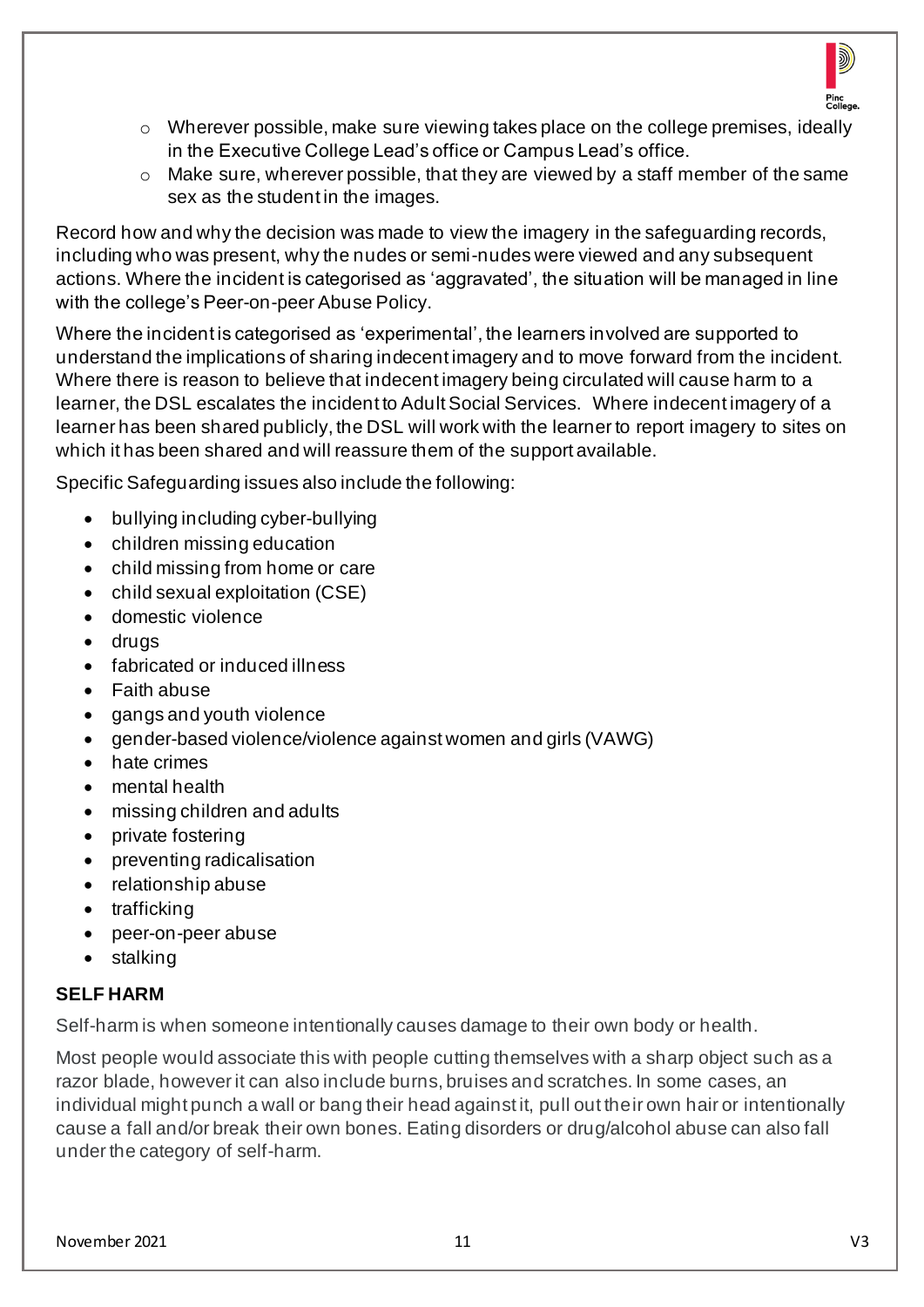

- $\circ$  Wherever possible, make sure viewing takes place on the college premises, ideally in the Executive College Lead's office or Campus Lead's office.
- o Make sure, wherever possible, that they are viewed by a staff member of the same sex as the student in the images.

Record how and why the decision was made to view the imagery in the safeguarding records, including who was present, why the nudes or semi-nudes were viewed and any subsequent actions. Where the incident is categorised as 'aggravated', the situation will be managed in line with the college's Peer-on-peer Abuse Policy.

Where the incident is categorised as 'experimental', the learners involved are supported to understand the implications of sharing indecent imagery and to move forward from the incident. Where there is reason to believe that indecent imagery being circulated will cause harm to a learner, the DSL escalates the incident to Adult Social Services. Where indecent imagery of a learner has been shared publicly, the DSL will work with the learner to report imagery to sites on which it has been shared and will reassure them of the support available.

Specific Safeguarding issues also include the following:

- bullying including cyber-bullying
- children missing education
- child missing from home or care
- child sexual exploitation (CSE)
- domestic violence
- drugs
- fabricated or induced illness
- Faith abuse
- gangs and youth violence
- gender-based violence/violence against women and girls (VAWG)
- hate crimes
- mental health
- missing children and adults
- private fostering
- preventing radicalisation
- relationship abuse
- trafficking
- peer-on-peer abuse
- stalking

## **SELF HARM**

Self-harm is when someone intentionally causes damage to their own body or health.

Most people would associate this with people cutting themselves with a sharp object such as a razor blade, however it can also include burns, bruises and scratches. In some cases, an individual might punch a wall or bang their head against it, pull out their own hair or intentionally cause a fall and/or break their own bones. Eating disorders or drug/alcohol abuse can also fall under the category of self-harm.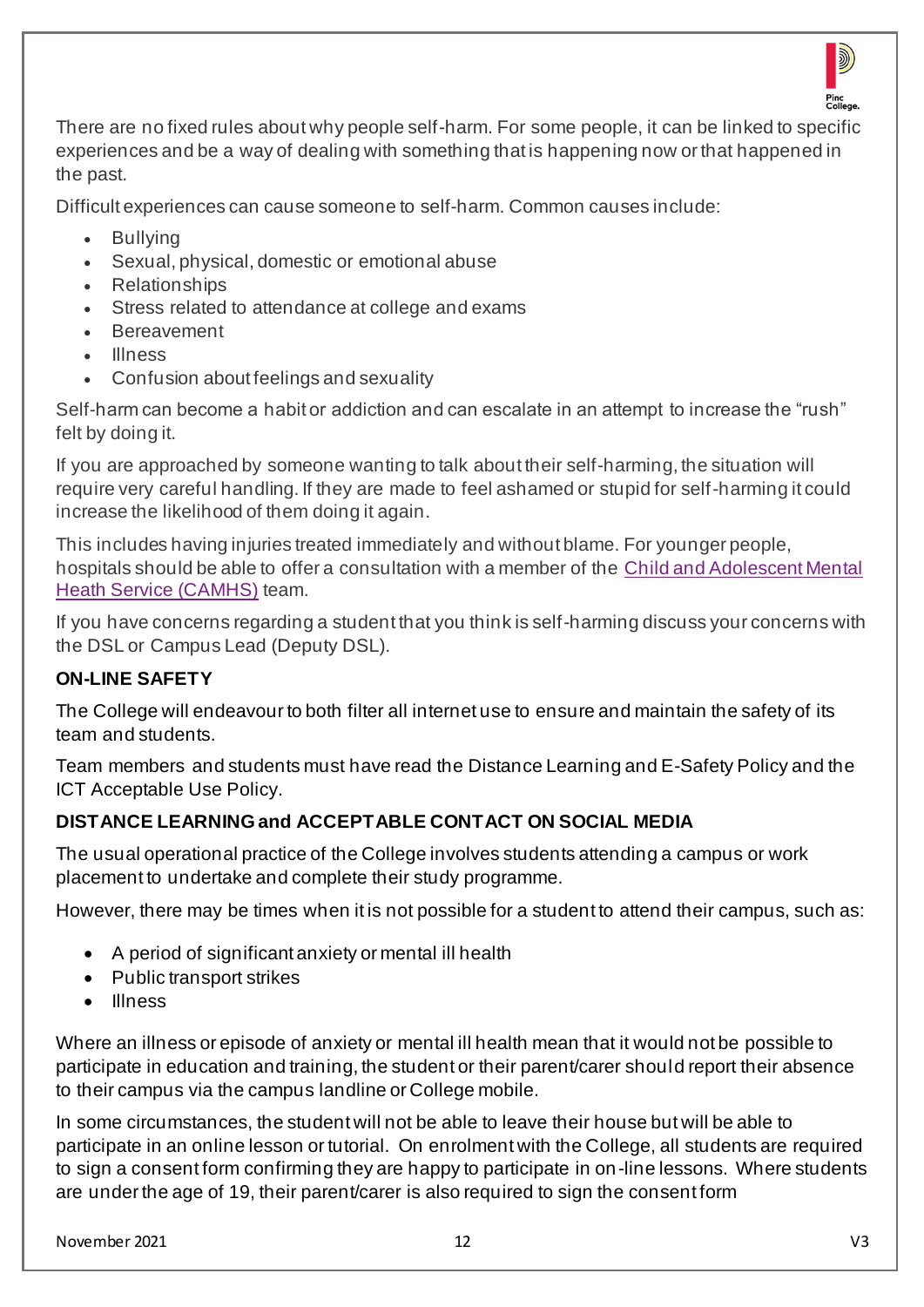

There are no fixed rules about why people self-harm. For some people, it can be linked to specific experiences and be a way of dealing with something that is happening now or that happened in the past.

Difficult experiences can cause someone to self-harm. Common causes include:

- **Bullying**
- Sexual, physical, domestic or emotional abuse
- Relationships
- Stress related to attendance at college and exams
- Bereavement
- Illness
- Confusion about feelings and sexuality

Self-harm can become a habit or addiction and can escalate in an attempt to increase the "rush" felt by doing it.

If you are approached by someone wanting to talk about their self-harming, the situation will require very careful handling. If they are made to feel ashamed or stupid for self-harming it could increase the likelihood of them doing it again.

This includes having injuries treated immediately and without blame. For younger people, hospitals should be able to offer a consultation with a member of the [Child and Adolescent Mental](http://www.youngminds.org.uk/for_parents/services_children_young_people/camhs/what_are_cahms)  [Heath Service \(CAMHS\)](http://www.youngminds.org.uk/for_parents/services_children_young_people/camhs/what_are_cahms) team.

If you have concerns regarding a student that you think is self-harming discuss your concerns with the DSL or Campus Lead (Deputy DSL).

# **ON-LINE SAFETY**

The College will endeavour to both filter all internet use to ensure and maintain the safety of its team and students.

Team members and students must have read the Distance Learning and E-Safety Policy and the ICT Acceptable Use Policy.

# **DISTANCE LEARNING and ACCEPTABLE CONTACT ON SOCIAL MEDIA**

The usual operational practice of the College involves students attending a campus or work placement to undertake and complete their study programme.

However, there may be times when it is not possible for a student to attend their campus, such as:

- A period of significant anxiety or mental ill health
- Public transport strikes
- Illness

Where an illness or episode of anxiety or mental ill health mean that it would not be possible to participate in education and training, the student or their parent/carer should report their absence to their campus via the campus landline or College mobile.

In some circumstances, the student will not be able to leave their house but will be able to participate in an online lesson or tutorial. On enrolment with the College, all students are required to sign a consent form confirming they are happy to participate in on -line lessons. Where students are under the age of 19, their parent/carer is also required to sign the consent form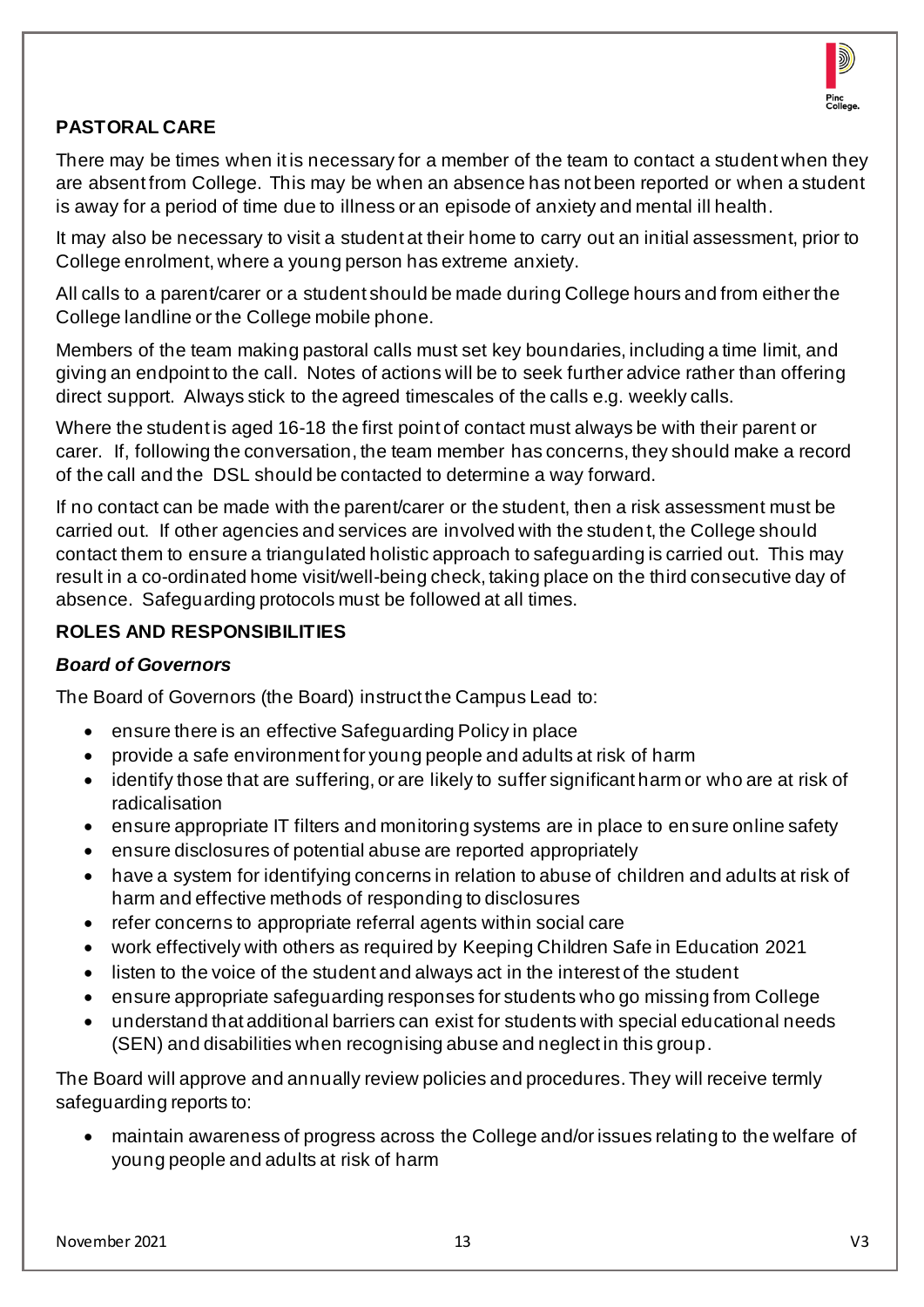

## **PASTORAL CARE**

There may be times when it is necessary for a member of the team to contact a student when they are absent from College. This may be when an absence has not been reported or when a student is away for a period of time due to illness or an episode of anxiety and mental ill health.

It may also be necessary to visit a student at their home to carry out an initial assessment, prior to College enrolment, where a young person has extreme anxiety.

All calls to a parent/carer or a student should be made during College hours and from either the College landline or the College mobile phone.

Members of the team making pastoral calls must set key boundaries, including a time limit, and giving an endpoint to the call. Notes of actions will be to seek further advice rather than offering direct support. Always stick to the agreed timescales of the calls e.g. weekly calls.

Where the student is aged 16-18 the first point of contact must always be with their parent or carer. If, following the conversation, the team member has concerns, they should make a record of the call and the DSL should be contacted to determine a way forward.

If no contact can be made with the parent/carer or the student, then a risk assessment must be carried out. If other agencies and services are involved with the studen t, the College should contact them to ensure a triangulated holistic approach to safeguarding is carried out. This may result in a co-ordinated home visit/well-being check, taking place on the third consecutive day of absence. Safeguarding protocols must be followed at all times.

## **ROLES AND RESPONSIBILITIES**

#### *Board of Governors*

The Board of Governors (the Board) instruct the Campus Lead to:

- ensure there is an effective Safeguarding Policy in place
- provide a safe environment for young people and adults at risk of harm
- identify those that are suffering, or are likely to suffer significant harm or who are at risk of radicalisation
- ensure appropriate IT filters and monitoring systems are in place to ensure online safety
- ensure disclosures of potential abuse are reported appropriately
- have a system for identifying concerns in relation to abuse of children and adults at risk of harm and effective methods of responding to disclosures
- refer concerns to appropriate referral agents within social care
- work effectively with others as required by Keeping Children Safe in Education 2021
- listen to the voice of the student and always act in the interest of the student
- ensure appropriate safeguarding responses for students who go missing from College
- understand that additional barriers can exist for students with special educational needs (SEN) and disabilities when recognising abuse and neglect in this group.

The Board will approve and annually review policies and procedures. They will receive termly safeguarding reports to:

• maintain awareness of progress across the College and/or issues relating to the welfare of young people and adults at risk of harm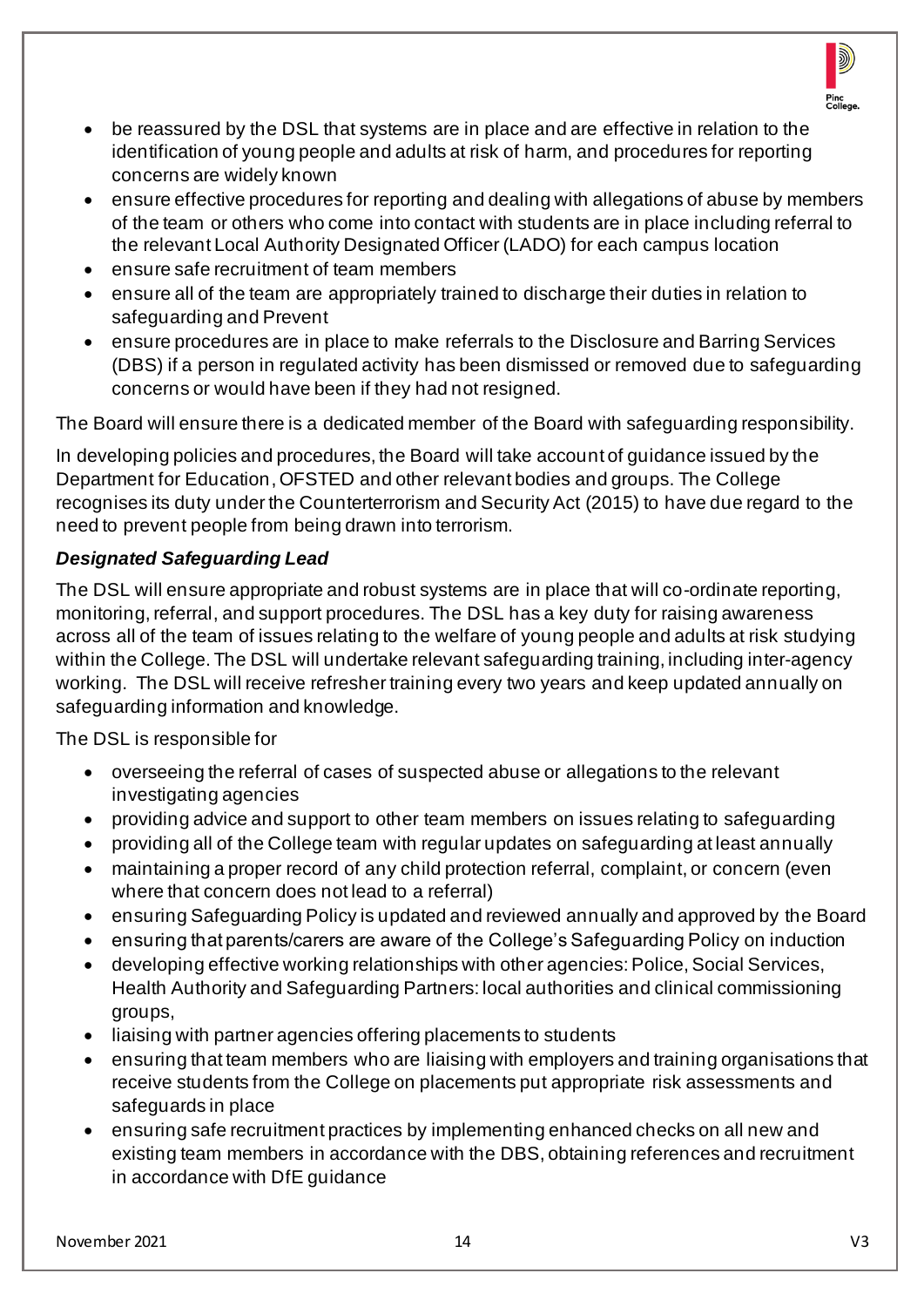

- be reassured by the DSL that systems are in place and are effective in relation to the identification of young people and adults at risk of harm, and procedures for reporting concerns are widely known
- ensure effective procedures for reporting and dealing with allegations of abuse by members of the team or others who come into contact with students are in place including referral to the relevant Local Authority Designated Officer (LADO) for each campus location
- ensure safe recruitment of team members
- ensure all of the team are appropriately trained to discharge their duties in relation to safeguarding and Prevent
- ensure procedures are in place to make referrals to the Disclosure and Barring Services (DBS) if a person in regulated activity has been dismissed or removed due to safeguarding concerns or would have been if they had not resigned.

The Board will ensure there is a dedicated member of the Board with safeguarding responsibility.

In developing policies and procedures, the Board will take account of guidance issued by the Department for Education, OFSTED and other relevant bodies and groups. The College recognises its duty under the Counterterrorism and Security Act (2015) to have due regard to the need to prevent people from being drawn into terrorism.

## *Designated Safeguarding Lead*

The DSL will ensure appropriate and robust systems are in place that will co-ordinate reporting, monitoring, referral, and support procedures. The DSL has a key duty for raising awareness across all of the team of issues relating to the welfare of young people and adults at risk studying within the College. The DSL will undertake relevant safeguarding training, including inter-agency working. The DSL will receive refresher training every two years and keep updated annually on safeguarding information and knowledge.

The DSL is responsible for

- overseeing the referral of cases of suspected abuse or allegations to the relevant investigating agencies
- providing advice and support to other team members on issues relating to safeguarding
- providing all of the College team with regular updates on safeguarding at least annually
- maintaining a proper record of any child protection referral, complaint, or concern (even where that concern does not lead to a referral)
- ensuring Safeguarding Policy is updated and reviewed annually and approved by the Board
- ensuring that parents/carers are aware of the College's Safeguarding Policy on induction
- developing effective working relationships with other agencies: Police, Social Services, Health Authority and Safeguarding Partners: local authorities and clinical commissioning groups,
- liaising with partner agencies offering placements to students
- ensuring that team members who are liaising with employers and training organisations that receive students from the College on placements put appropriate risk assessments and safeguards in place
- ensuring safe recruitment practices by implementing enhanced checks on all new and existing team members in accordance with the DBS, obtaining references and recruitment in accordance with DfE guidance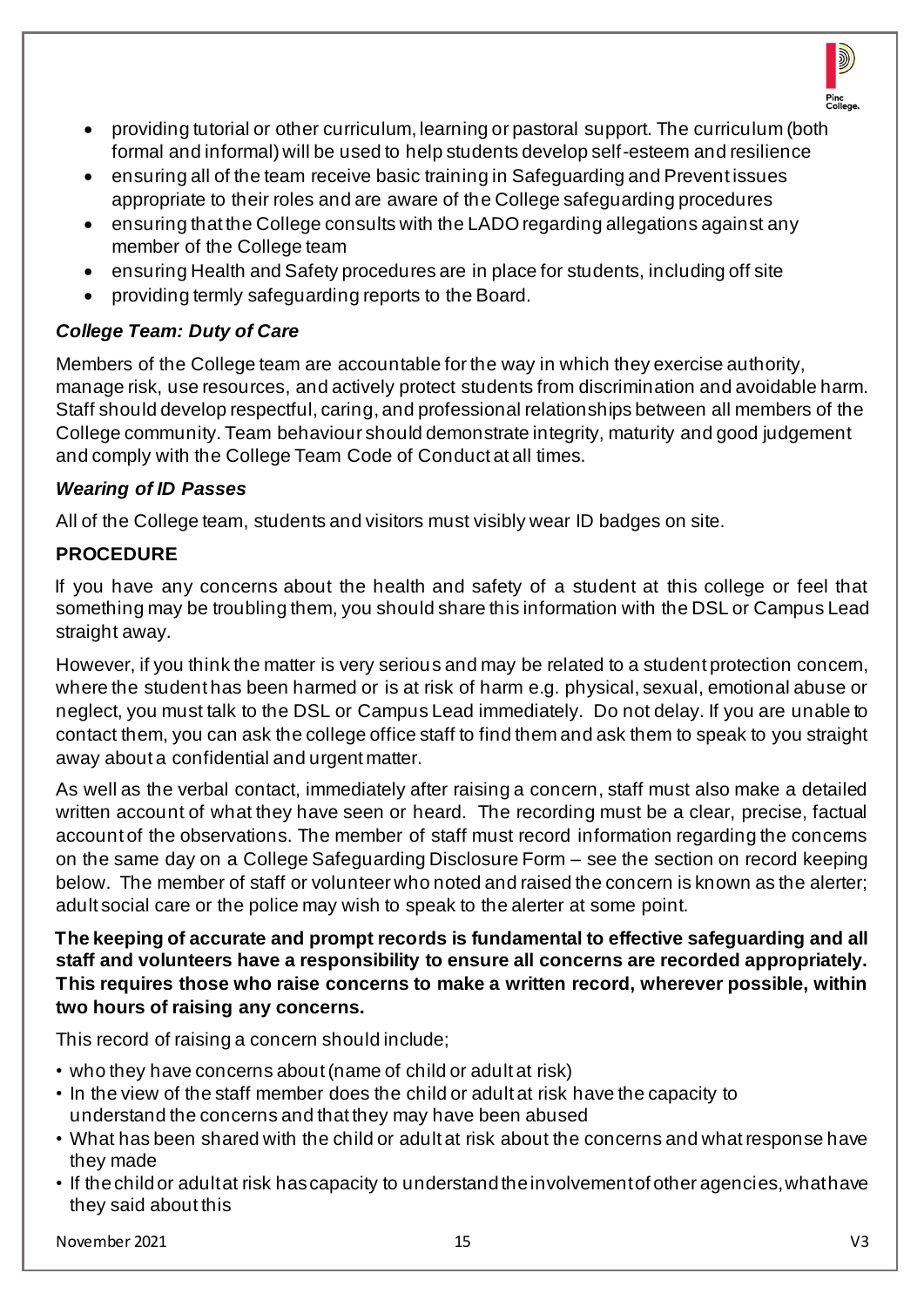

- providing tutorial or other curriculum, learning or pastoral support. The curriculum (both formal and informal) will be used to help students develop self-esteem and resilience
- ensuring all of the team receive basic training in Safeguarding and Prevent issues appropriate to their roles and are aware of the College safeguarding procedures
- ensuring that the College consults with the LADO regarding allegations against any member of the College team
- ensuring Health and Safety procedures are in place for students, including off site
- providing termly safeguarding reports to the Board.

# *College Team: Duty of Care*

Members of the College team are accountable for the way in which they exercise authority, manage risk, use resources, and actively protect students from discrimination and avoidable harm. Staff should develop respectful, caring, and professional relationships between all members of the College community. Team behaviour should demonstrate integrity, maturity and good judgement and comply with the College Team Code of Conduct at all times.

## *Wearing of ID Passes*

All of the College team, students and visitors must visibly wear ID badges on site.

# **PROCEDURE**

If you have any concerns about the health and safety of a student at this college or feel that something may be troubling them, you should share this information with the DSL or Campus Lead straight away.

However, if you think the matter is very serious and may be related to a student protection concem, where the student has been harmed or is at risk of harm e.g. physical, sexual, emotional abuse or neglect, you must talk to the DSL or Campus Lead immediately. Do not delay. If you are unable to contact them, you can ask the college office staff to find them and ask them to speak to you straight away about a confidential and urgent matter.

As well as the verbal contact, immediately after raising a concern, staff must also make a detailed written account of what they have seen or heard. The recording must be a clear, precise, factual account of the observations. The member of staff must record information regarding the concems on the same day on a College Safeguarding Disclosure Form – see the section on record keeping below. The member of staff or volunteer who noted and raised the concern is known as the alerter; adult social care or the police may wish to speak to the alerter at some point.

**The keeping of accurate and prompt records is fundamental to effective safeguarding and all staff and volunteers have a responsibility to ensure all concerns are recorded appropriately. This requires those who raise concerns to make a written record, wherever possible, within two hours of raising any concerns.** 

This record of raising a concern should include;

- who they have concerns about (name of child or adult at risk)
- In the view of the staff member does the child or adult at risk have the capacity to understand the concerns and that they may have been abused
- What has been shared with the child or adult at risk about the concerns and what response have they made
- If the child or adult at risk has capacity to understand the involvement of other agencies, what have they said about this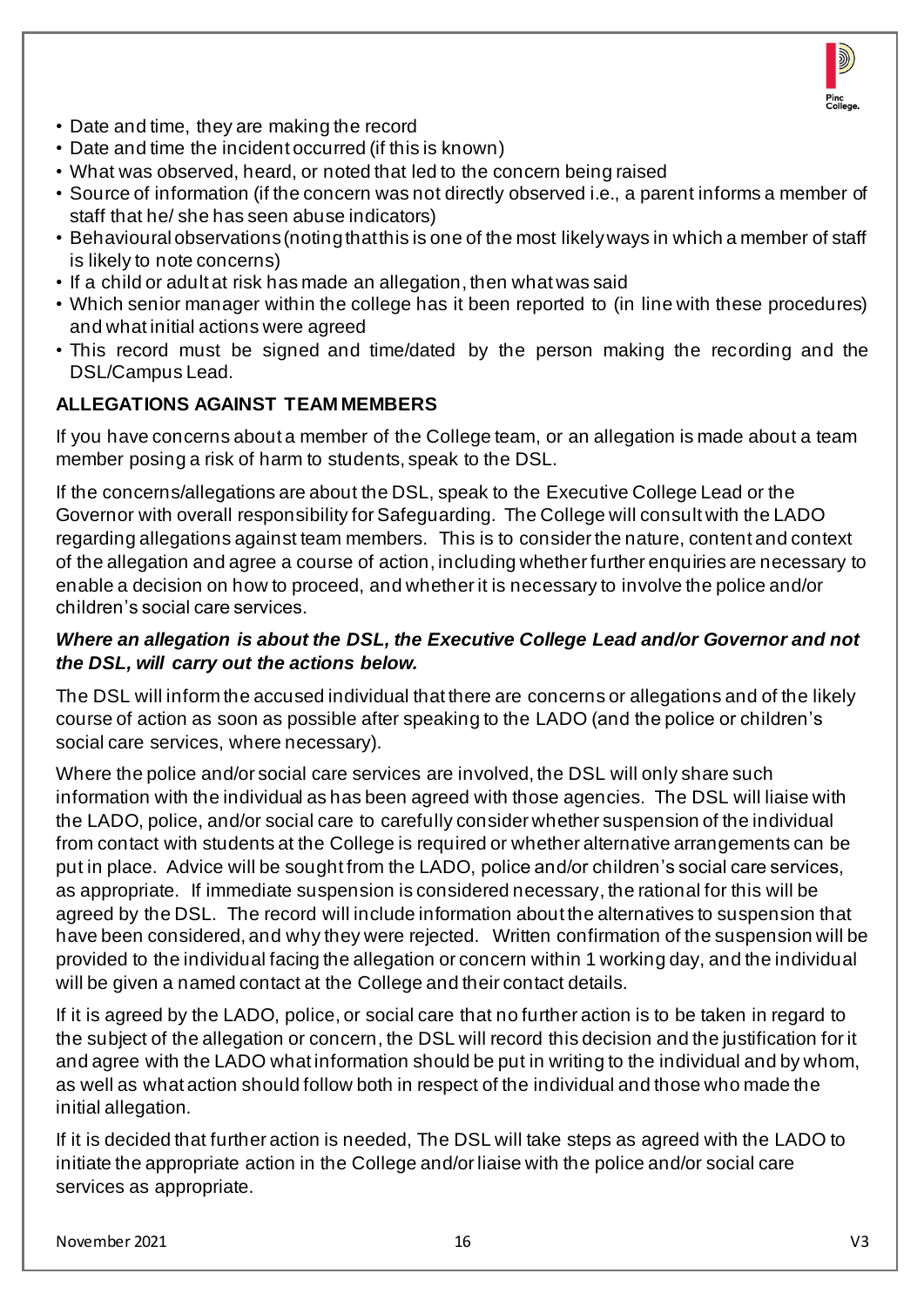

- Date and time, they are making the record
- Date and time the incident occurred (if this is known)
- What was observed, heard, or noted that led to the concern being raised
- Source of information (if the concern was not directly observed i.e., a parent informs a member of staff that he/ she has seen abuse indicators)
- Behavioural observations (noting that this is one of the most likely ways in which a member of staff is likely to note concerns)
- If a child or adult at risk has made an allegation, then what was said
- Which senior manager within the college has it been reported to (in line with these procedures) and what initial actions were agreed
- This record must be signed and time/dated by the person making the recording and the DSL/Campus Lead.

#### **ALLEGATIONS AGAINST TEAM MEMBERS**

If you have concerns about a member of the College team, or an allegation is made about a team member posing a risk of harm to students, speak to the DSL.

If the concerns/allegations are about the DSL, speak to the Executive College Lead or the Governor with overall responsibility for Safeguarding. The College will consult with the LADO regarding allegations against team members. This is to consider the nature, content and context of the allegation and agree a course of action, including whether further enquiries are necessary to enable a decision on how to proceed, and whether it is necessary to involve the police and/or children's social care services.

#### *Where an allegation is about the DSL, the Executive College Lead and/or Governor and not the DSL, will carry out the actions below.*

The DSL will inform the accused individual that there are concerns or allegations and of the likely course of action as soon as possible after speaking to the LADO (and the police or children's social care services, where necessary).

Where the police and/or social care services are involved, the DSL will only share such information with the individual as has been agreed with those agencies. The DSL will liaise with the LADO, police, and/or social care to carefully consider whether suspension of the individual from contact with students at the College is required or whether alternative arrangements can be put in place. Advice will be sought from the LADO, police and/or children's social care services, as appropriate. If immediate suspension is considered necessary, the rational for this will be agreed by the DSL. The record will include information about the alternatives to suspension that have been considered, and why they were rejected. Written confirmation of the suspension will be provided to the individual facing the allegation or concern within 1 working day, and the individual will be given a named contact at the College and their contact details.

If it is agreed by the LADO, police, or social care that no further action is to be taken in regard to the subject of the allegation or concern, the DSL will record this decision and the justification for it and agree with the LADO what information should be put in writing to the individual and by whom, as well as what action should follow both in respect of the individual and those who made the initial allegation.

If it is decided that further action is needed, The DSL will take steps as agreed with the LADO to initiate the appropriate action in the College and/or liaise with the police and/or social care services as appropriate.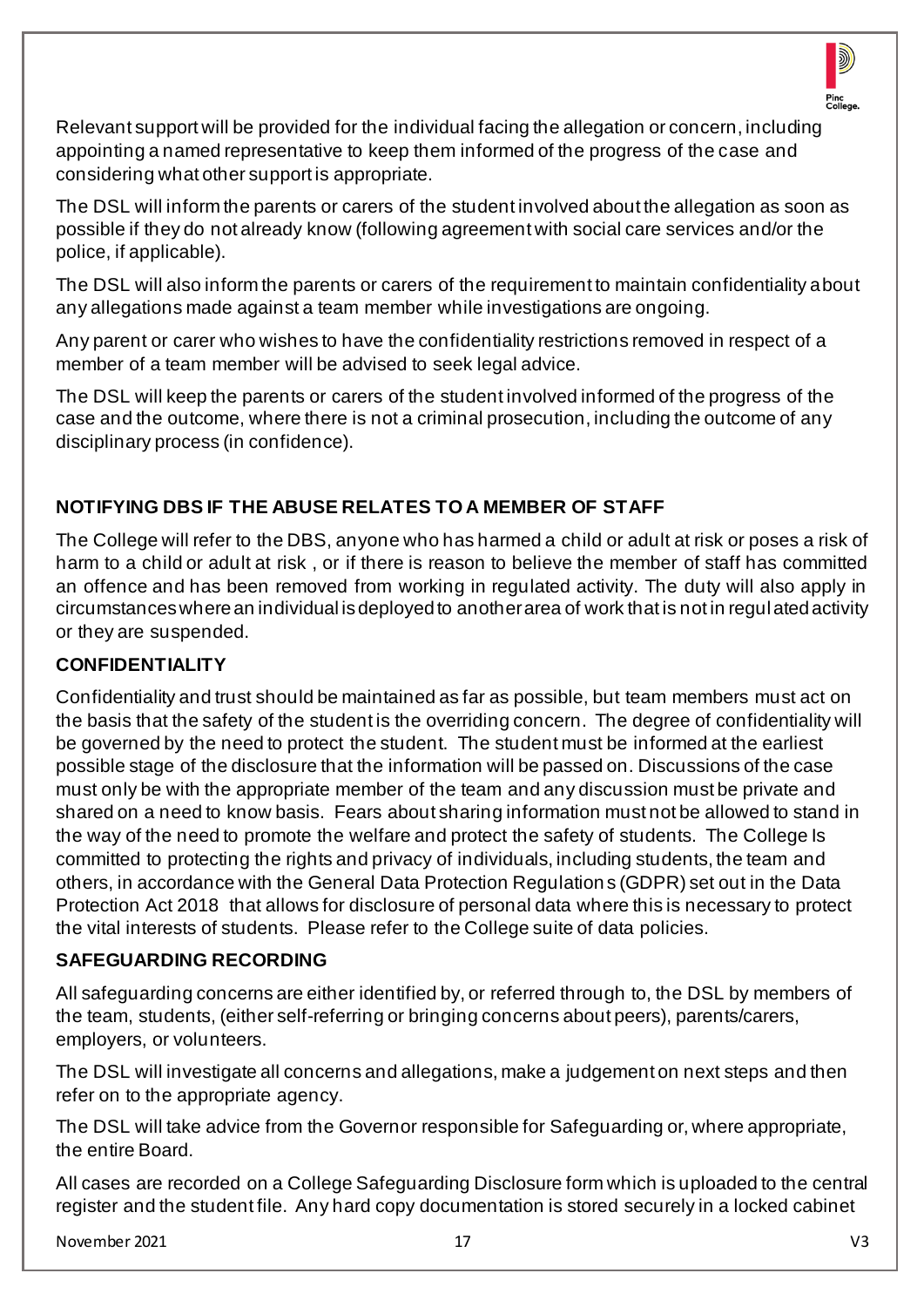

Relevant support will be provided for the individual facing the allegation or concern, including appointing a named representative to keep them informed of the progress of the case and considering what other support is appropriate.

The DSL will inform the parents or carers of the student involved about the allegation as soon as possible if they do not already know (following agreement with social care services and/or the police, if applicable).

The DSL will also inform the parents or carers of the requirement to maintain confidentiality about any allegations made against a team member while investigations are ongoing.

Any parent or carer who wishes to have the confidentiality restrictions removed in respect of a member of a team member will be advised to seek legal advice.

The DSL will keep the parents or carers of the student involved informed of the progress of the case and the outcome, where there is not a criminal prosecution, including the outcome of any disciplinary process (in confidence).

## **NOTIFYING DBS IF THE ABUSE RELATES TO A MEMBER OF STAFF**

The College will refer to the DBS, anyone who has harmed a child or adult at risk or poses a risk of harm to a child or adult at risk , or if there is reason to believe the member of staff has committed an offence and has been removed from working in regulated activity. The duty will also apply in circumstances where an individual is deployed to another area of work that is not in regulated activity or they are suspended.

## **CONFIDENTIALITY**

Confidentiality and trust should be maintained as far as possible, but team members must act on the basis that the safety of the student is the overriding concern. The degree of confidentiality will be governed by the need to protect the student. The student must be informed at the earliest possible stage of the disclosure that the information will be passed on. Discussions of the case must only be with the appropriate member of the team and any discussion must be private and shared on a need to know basis. Fears about sharing information must not be allowed to stand in the way of the need to promote the welfare and protect the safety of students. The College Is committed to protecting the rights and privacy of individuals, including students, the team and others, in accordance with the General Data Protection Regulations (GDPR) set out in the Data Protection Act 2018 that allows for disclosure of personal data where this is necessary to protect the vital interests of students. Please refer to the College suite of data policies.

#### **SAFEGUARDING RECORDING**

All safeguarding concerns are either identified by, or referred through to, the DSL by members of the team, students, (either self-referring or bringing concerns about peers), parents/carers, employers, or volunteers.

The DSL will investigate all concerns and allegations, make a judgement on next steps and then refer on to the appropriate agency.

The DSL will take advice from the Governor responsible for Safeguarding or, where appropriate, the entire Board.

All cases are recorded on a College Safeguarding Disclosure form which is uploaded to the central register and the student file. Any hard copy documentation is stored securely in a locked cabinet

November 2021 17 V3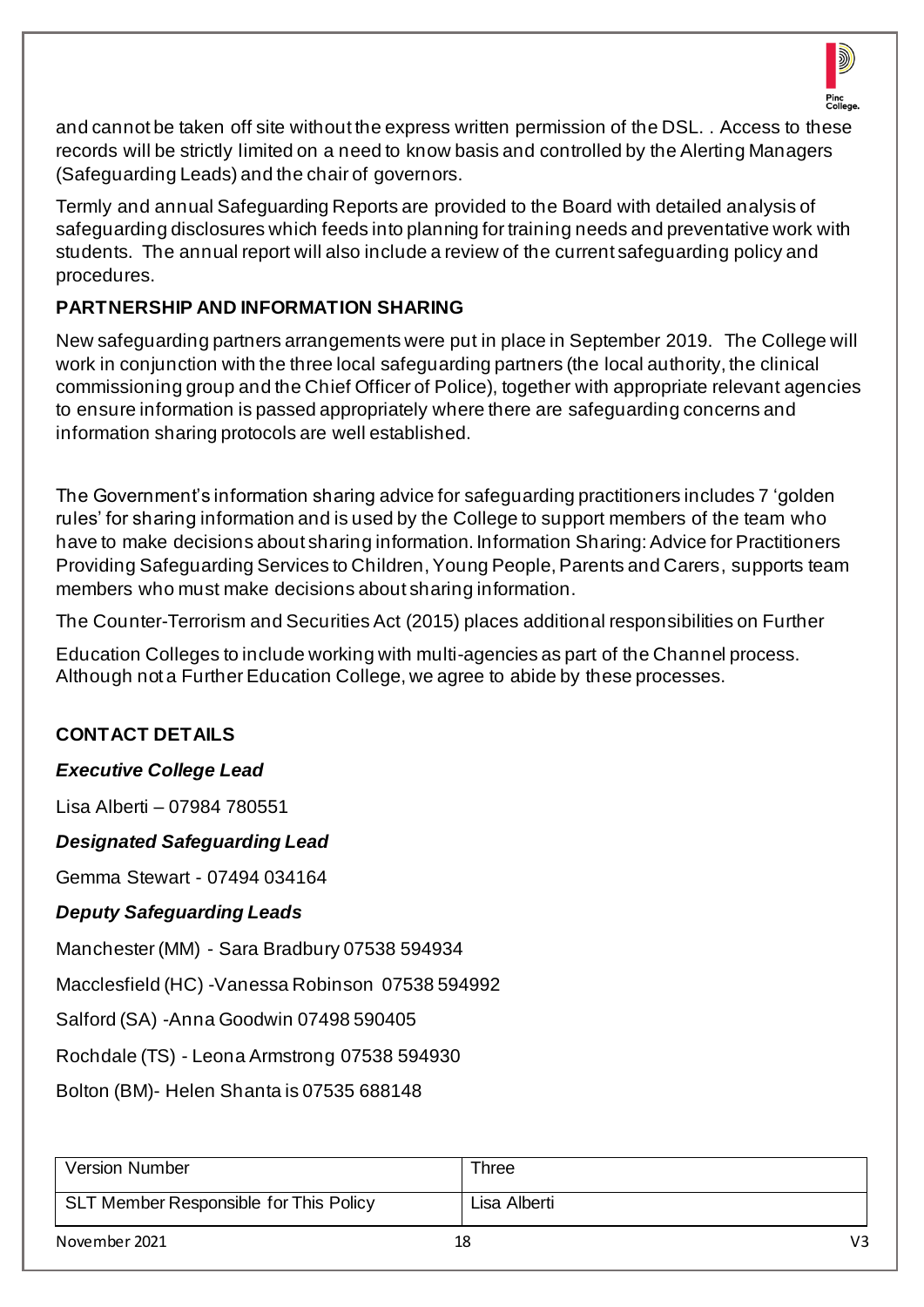

and cannot be taken off site without the express written permission of the DSL. . Access to these records will be strictly limited on a need to know basis and controlled by the Alerting Managers (Safeguarding Leads) and the chair of governors.

Termly and annual Safeguarding Reports are provided to the Board with detailed analysis of safeguarding disclosures which feeds into planning for training needs and preventative work with students. The annual report will also include a review of the current safeguarding policy and procedures.

## **PARTNERSHIP AND INFORMATION SHARING**

New safeguarding partners arrangements were put in place in September 2019. The College will work in conjunction with the three local safeguarding partners (the local authority, the clinical commissioning group and the Chief Officer of Police), together with appropriate relevant agencies to ensure information is passed appropriately where there are safeguarding concerns and information sharing protocols are well established.

The Government's information sharing advice for safeguarding practitioners includes 7 'golden rules' for sharing information and is used by the College to support members of the team who have to make decisions about sharing information. Information Sharing: Advice for Practitioners Providing Safeguarding Services to Children, Young People, Parents and Carers, supports team members who must make decisions about sharing information.

The Counter-Terrorism and Securities Act (2015) places additional responsibilities on Further

Education Colleges to include working with multi-agencies as part of the Channel process. Although not a Further Education College, we agree to abide by these processes.

## **CONTACT DETAILS**

## *Executive College Lead*

Lisa Alberti – 07984 780551

*Designated Safeguarding Lead*

Gemma Stewart - 07494 034164

## *Deputy Safeguarding Leads*

Manchester (MM) - Sara Bradbury 07538 594934

Macclesfield (HC) -Vanessa Robinson 07538 594992

Salford (SA) -Anna Goodwin 07498 590405

Rochdale (TS) - Leona Armstrong 07538 594930

Bolton (BM)- Helen Shanta is 07535 688148

| <b>Version Number</b>                  | Three        |    |
|----------------------------------------|--------------|----|
| SLT Member Responsible for This Policy | Lisa Alberti |    |
| November 2021                          | 18           | V3 |